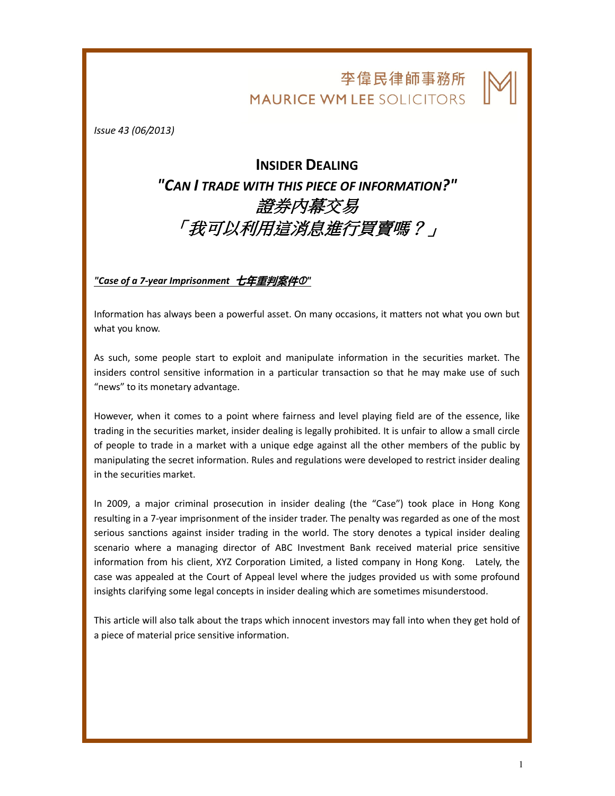## 李偉民律師事務所 **MAURICE WM LEE SOLICITORS**

 $\overline{\phantom{a}}$ 

Issue 43 (06/2013)

## INSIDER DEALING "CAN I TRADE WITH THIS PIECE OF INFORMATION?" 證券內幕交易 「我可以利用這消息進行買賣嗎?」

"Case of a 7-year Imprisonment 七年重判案件①"

Information has always been a powerful asset. On many occasions, it matters not what you own but what you know.

As such, some people start to exploit and manipulate information in the securities market. The insiders control sensitive information in a particular transaction so that he may make use of such "news" to its monetary advantage.

However, when it comes to a point where fairness and level playing field are of the essence, like trading in the securities market, insider dealing is legally prohibited. It is unfair to allow a small circle of people to trade in a market with a unique edge against all the other members of the public by manipulating the secret information. Rules and regulations were developed to restrict insider dealing in the securities market.

In 2009, a major criminal prosecution in insider dealing (the "Case") took place in Hong Kong resulting in a 7-year imprisonment of the insider trader. The penalty was regarded as one of the most serious sanctions against insider trading in the world. The story denotes a typical insider dealing scenario where a managing director of ABC Investment Bank received material price sensitive information from his client, XYZ Corporation Limited, a listed company in Hong Kong. Lately, the case was appealed at the Court of Appeal level where the judges provided us with some profound insights clarifying some legal concepts in insider dealing which are sometimes misunderstood.

This article will also talk about the traps which innocent investors may fall into when they get hold of a piece of material price sensitive information.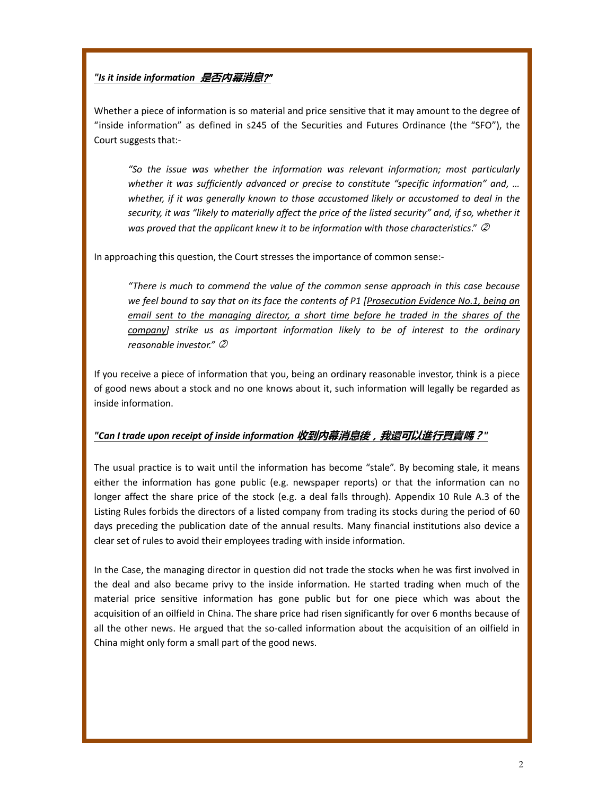## "Is it inside information *是否内幕消息?*"

Whether a piece of information is so material and price sensitive that it may amount to the degree of "inside information" as defined in s245 of the Securities and Futures Ordinance (the "SFO"), the Court suggests that:-

"So the issue was whether the information was relevant information; most particularly whether it was sufficiently advanced or precise to constitute "specific information" and, ... whether, if it was generally known to those accustomed likely or accustomed to deal in the security, it was "likely to materially affect the price of the listed security" and, if so, whether it was proved that the applicant knew it to be information with those characteristics."  $\oslash$ 

In approaching this question, the Court stresses the importance of common sense:-

"There is much to commend the value of the common sense approach in this case because we feel bound to say that on its face the contents of P1 [Prosecution Evidence No.1, being an email sent to the managing director, a short time before he traded in the shares of the company] strike us as important information likely to be of interest to the ordinary reasonable investor."  $\mathcal{D}$ 

If you receive a piece of information that you, being an ordinary reasonable investor, think is a piece of good news about a stock and no one knows about it, such information will legally be regarded as inside information.

## "Can I trade upon receipt of inside information 收到内幕消息後,我還可以進行買賣嗎?"

The usual practice is to wait until the information has become "stale". By becoming stale, it means either the information has gone public (e.g. newspaper reports) or that the information can no longer affect the share price of the stock (e.g. a deal falls through). Appendix 10 Rule A.3 of the Listing Rules forbids the directors of a listed company from trading its stocks during the period of 60 days preceding the publication date of the annual results. Many financial institutions also device a clear set of rules to avoid their employees trading with inside information.

In the Case, the managing director in question did not trade the stocks when he was first involved in the deal and also became privy to the inside information. He started trading when much of the material price sensitive information has gone public but for one piece which was about the acquisition of an oilfield in China. The share price had risen significantly for over 6 months because of all the other news. He argued that the so-called information about the acquisition of an oilfield in China might only form a small part of the good news.

 $\overline{\phantom{a}}$